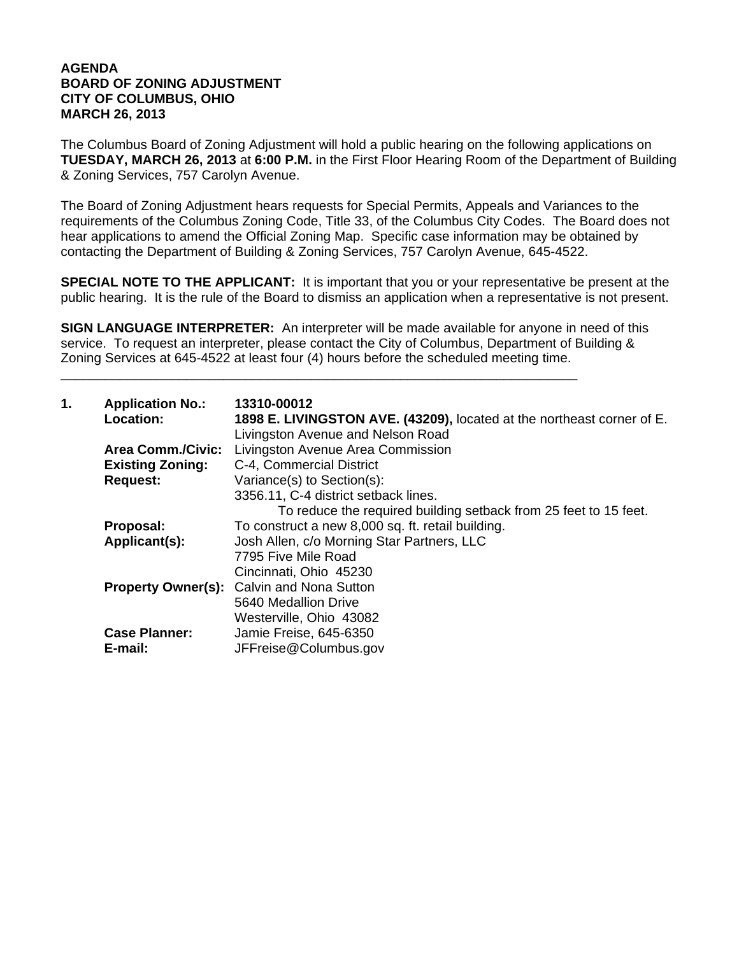## **AGENDA BOARD OF ZONING ADJUSTMENT CITY OF COLUMBUS, OHIO MARCH 26, 2013**

The Columbus Board of Zoning Adjustment will hold a public hearing on the following applications on **TUESDAY, MARCH 26, 2013** at **6:00 P.M.** in the First Floor Hearing Room of the Department of Building & Zoning Services, 757 Carolyn Avenue.

The Board of Zoning Adjustment hears requests for Special Permits, Appeals and Variances to the requirements of the Columbus Zoning Code, Title 33, of the Columbus City Codes. The Board does not hear applications to amend the Official Zoning Map. Specific case information may be obtained by contacting the Department of Building & Zoning Services, 757 Carolyn Avenue, 645-4522.

**SPECIAL NOTE TO THE APPLICANT:** It is important that you or your representative be present at the public hearing. It is the rule of the Board to dismiss an application when a representative is not present.

**SIGN LANGUAGE INTERPRETER:** An interpreter will be made available for anyone in need of this service. To request an interpreter, please contact the City of Columbus, Department of Building & Zoning Services at 645-4522 at least four (4) hours before the scheduled meeting time.

\_\_\_\_\_\_\_\_\_\_\_\_\_\_\_\_\_\_\_\_\_\_\_\_\_\_\_\_\_\_\_\_\_\_\_\_\_\_\_\_\_\_\_\_\_\_\_\_\_\_\_\_\_\_\_\_\_\_\_\_\_\_\_\_\_\_\_\_\_\_

| 1. | <b>Application No.:</b><br>Location: | 13310-00012<br>1898 E. LIVINGSTON AVE. (43209), located at the northeast corner of E.<br>Livingston Avenue and Nelson Road |
|----|--------------------------------------|----------------------------------------------------------------------------------------------------------------------------|
|    | <b>Area Comm./Civic:</b>             | Livingston Avenue Area Commission                                                                                          |
|    | <b>Existing Zoning:</b>              | C-4, Commercial District                                                                                                   |
|    | <b>Request:</b>                      | Variance(s) to Section(s):                                                                                                 |
|    |                                      | 3356.11, C-4 district setback lines.                                                                                       |
|    |                                      | To reduce the required building setback from 25 feet to 15 feet.                                                           |
|    | Proposal:                            | To construct a new 8,000 sq. ft. retail building.                                                                          |
|    | Applicant(s):                        | Josh Allen, c/o Morning Star Partners, LLC                                                                                 |
|    |                                      | 7795 Five Mile Road                                                                                                        |
|    |                                      | Cincinnati, Ohio 45230                                                                                                     |
|    |                                      | <b>Property Owner(s):</b> Calvin and Nona Sutton                                                                           |
|    |                                      | 5640 Medallion Drive                                                                                                       |
|    |                                      | Westerville, Ohio 43082                                                                                                    |
|    | <b>Case Planner:</b>                 | Jamie Freise, 645-6350                                                                                                     |
|    | E-mail:                              | JFFreise@Columbus.gov                                                                                                      |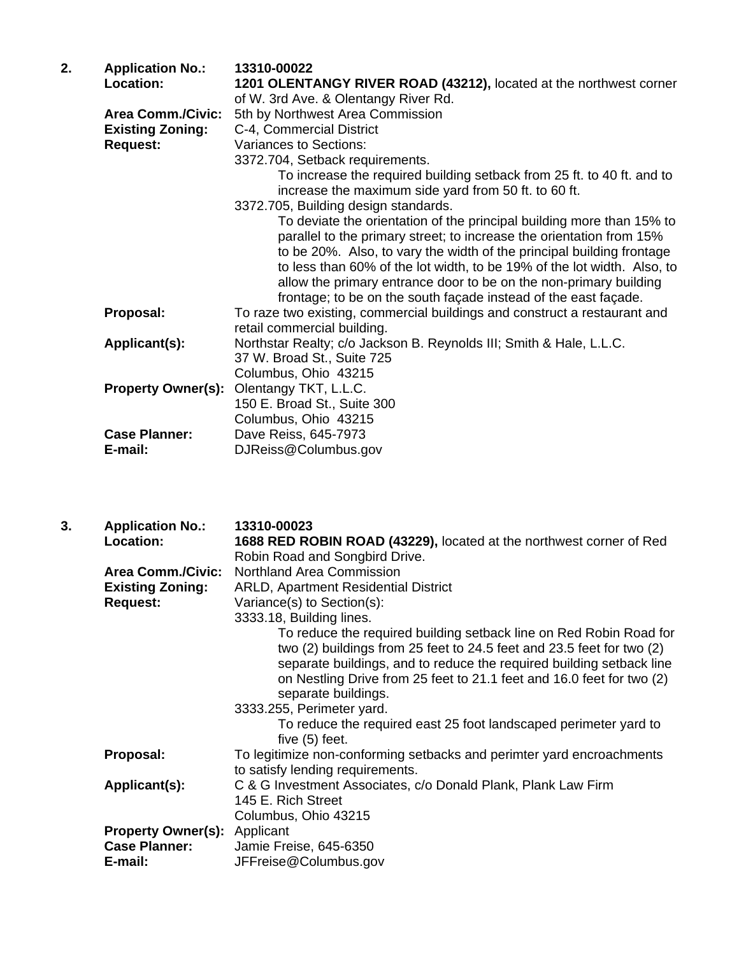| 2. | <b>Application No.:</b>   | 13310-00022                                                               |
|----|---------------------------|---------------------------------------------------------------------------|
|    | Location:                 | 1201 OLENTANGY RIVER ROAD (43212), located at the northwest corner        |
|    |                           | of W. 3rd Ave. & Olentangy River Rd.                                      |
|    | <b>Area Comm./Civic:</b>  | 5th by Northwest Area Commission                                          |
|    | <b>Existing Zoning:</b>   | C-4, Commercial District                                                  |
|    | <b>Request:</b>           | Variances to Sections:                                                    |
|    |                           | 3372.704, Setback requirements.                                           |
|    |                           | To increase the required building setback from 25 ft. to 40 ft. and to    |
|    |                           | increase the maximum side yard from 50 ft. to 60 ft.                      |
|    |                           | 3372.705, Building design standards.                                      |
|    |                           | To deviate the orientation of the principal building more than 15% to     |
|    |                           | parallel to the primary street; to increase the orientation from 15%      |
|    |                           | to be 20%. Also, to vary the width of the principal building frontage     |
|    |                           | to less than 60% of the lot width, to be 19% of the lot width. Also, to   |
|    |                           | allow the primary entrance door to be on the non-primary building         |
|    |                           | frontage; to be on the south façade instead of the east façade.           |
|    | Proposal:                 | To raze two existing, commercial buildings and construct a restaurant and |
|    |                           | retail commercial building.                                               |
|    | Applicant(s):             | Northstar Realty; c/o Jackson B. Reynolds III; Smith & Hale, L.L.C.       |
|    |                           | 37 W. Broad St., Suite 725                                                |
|    |                           | Columbus, Ohio 43215                                                      |
|    | <b>Property Owner(s):</b> | Olentangy TKT, L.L.C.                                                     |
|    |                           | 150 E. Broad St., Suite 300                                               |
|    |                           | Columbus, Ohio 43215                                                      |
|    | <b>Case Planner:</b>      | Dave Reiss, 645-7973                                                      |
|    | E-mail:                   | DJReiss@Columbus.gov                                                      |
|    |                           |                                                                           |

| 3. | <b>Application No.:</b>                                                | 13310-00023                                                                                                                                                                                                                                                                                                         |
|----|------------------------------------------------------------------------|---------------------------------------------------------------------------------------------------------------------------------------------------------------------------------------------------------------------------------------------------------------------------------------------------------------------|
|    | Location:                                                              | 1688 RED ROBIN ROAD (43229), located at the northwest corner of Red                                                                                                                                                                                                                                                 |
|    |                                                                        | Robin Road and Songbird Drive.                                                                                                                                                                                                                                                                                      |
|    | <b>Area Comm./Civic:</b>                                               | Northland Area Commission                                                                                                                                                                                                                                                                                           |
|    | <b>Existing Zoning:</b>                                                | <b>ARLD, Apartment Residential District</b>                                                                                                                                                                                                                                                                         |
|    | <b>Request:</b>                                                        | Variance(s) to Section(s):                                                                                                                                                                                                                                                                                          |
|    |                                                                        | 3333.18, Building lines.                                                                                                                                                                                                                                                                                            |
|    |                                                                        | To reduce the required building setback line on Red Robin Road for<br>two (2) buildings from 25 feet to 24.5 feet and 23.5 feet for two (2)<br>separate buildings, and to reduce the required building setback line<br>on Nestling Drive from 25 feet to 21.1 feet and 16.0 feet for two (2)<br>separate buildings. |
|    |                                                                        | 3333.255, Perimeter yard.                                                                                                                                                                                                                                                                                           |
|    |                                                                        | To reduce the required east 25 foot landscaped perimeter yard to<br>five $(5)$ feet.                                                                                                                                                                                                                                |
|    | Proposal:                                                              | To legitimize non-conforming setbacks and perimter yard encroachments<br>to satisfy lending requirements.                                                                                                                                                                                                           |
|    | Applicant(s):                                                          | C & G Investment Associates, c/o Donald Plank, Plank Law Firm<br>145 E. Rich Street<br>Columbus, Ohio 43215                                                                                                                                                                                                         |
|    | <b>Property Owner(s):</b> Applicant<br><b>Case Planner:</b><br>E-mail: | Jamie Freise, 645-6350<br>JFFreise@Columbus.gov                                                                                                                                                                                                                                                                     |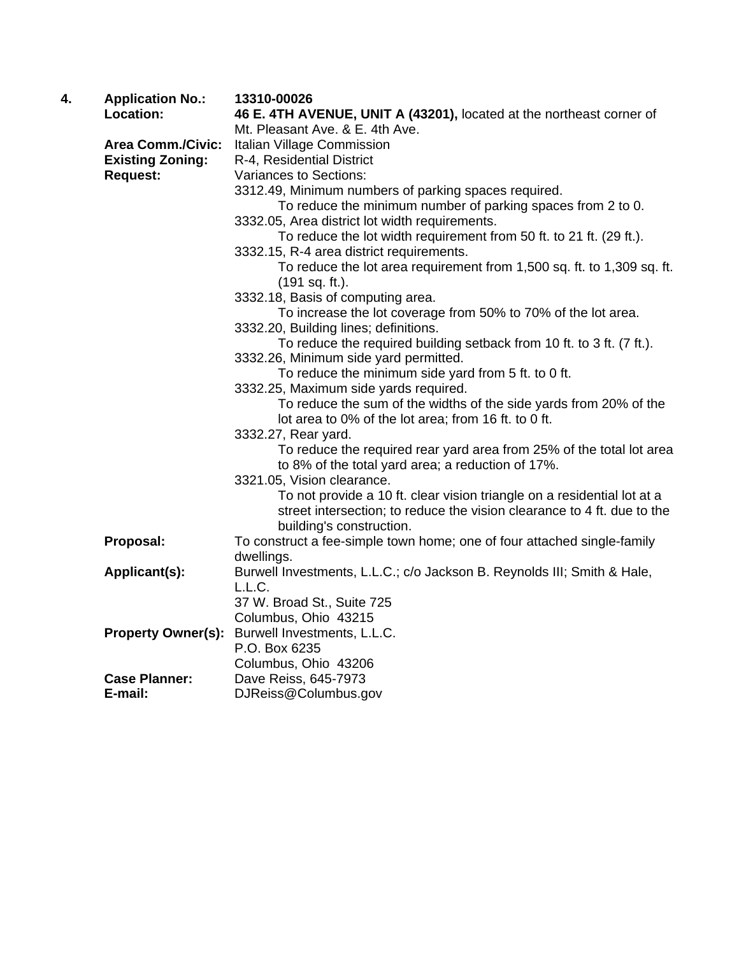| 4. | <b>Application No.:</b>   | 13310-00026                                                             |
|----|---------------------------|-------------------------------------------------------------------------|
|    | Location:                 | 46 E. 4TH AVENUE, UNIT A (43201), located at the northeast corner of    |
|    |                           | Mt. Pleasant Ave. & E. 4th Ave.                                         |
|    | <b>Area Comm./Civic:</b>  | Italian Village Commission                                              |
|    | <b>Existing Zoning:</b>   | R-4, Residential District                                               |
|    | <b>Request:</b>           | Variances to Sections:                                                  |
|    |                           | 3312.49, Minimum numbers of parking spaces required.                    |
|    |                           | To reduce the minimum number of parking spaces from 2 to 0.             |
|    |                           | 3332.05, Area district lot width requirements.                          |
|    |                           | To reduce the lot width requirement from 50 ft. to 21 ft. (29 ft.).     |
|    |                           | 3332.15, R-4 area district requirements.                                |
|    |                           | To reduce the lot area requirement from 1,500 sq. ft. to 1,309 sq. ft.  |
|    |                           | (191 sq. ft.).                                                          |
|    |                           | 3332.18, Basis of computing area.                                       |
|    |                           | To increase the lot coverage from 50% to 70% of the lot area.           |
|    |                           | 3332.20, Building lines; definitions.                                   |
|    |                           | To reduce the required building setback from 10 ft. to 3 ft. (7 ft.).   |
|    |                           | 3332.26, Minimum side yard permitted.                                   |
|    |                           | To reduce the minimum side yard from 5 ft. to 0 ft.                     |
|    |                           | 3332.25, Maximum side yards required.                                   |
|    |                           | To reduce the sum of the widths of the side yards from 20% of the       |
|    |                           | lot area to 0% of the lot area; from 16 ft. to 0 ft.                    |
|    |                           | 3332.27, Rear yard.                                                     |
|    |                           | To reduce the required rear yard area from 25% of the total lot area    |
|    |                           | to 8% of the total yard area; a reduction of 17%.                       |
|    |                           | 3321.05, Vision clearance.                                              |
|    |                           | To not provide a 10 ft. clear vision triangle on a residential lot at a |
|    |                           | street intersection; to reduce the vision clearance to 4 ft. due to the |
|    |                           | building's construction.                                                |
|    | Proposal:                 | To construct a fee-simple town home; one of four attached single-family |
|    |                           | dwellings.                                                              |
|    | Applicant(s):             | Burwell Investments, L.L.C.; c/o Jackson B. Reynolds III; Smith & Hale, |
|    |                           | L.L.C.                                                                  |
|    |                           | 37 W. Broad St., Suite 725                                              |
|    |                           | Columbus, Ohio 43215                                                    |
|    | <b>Property Owner(s):</b> | Burwell Investments, L.L.C.                                             |
|    |                           | P.O. Box 6235                                                           |
|    |                           | Columbus, Ohio 43206                                                    |
|    | <b>Case Planner:</b>      | Dave Reiss, 645-7973                                                    |
|    | E-mail:                   | DJReiss@Columbus.gov                                                    |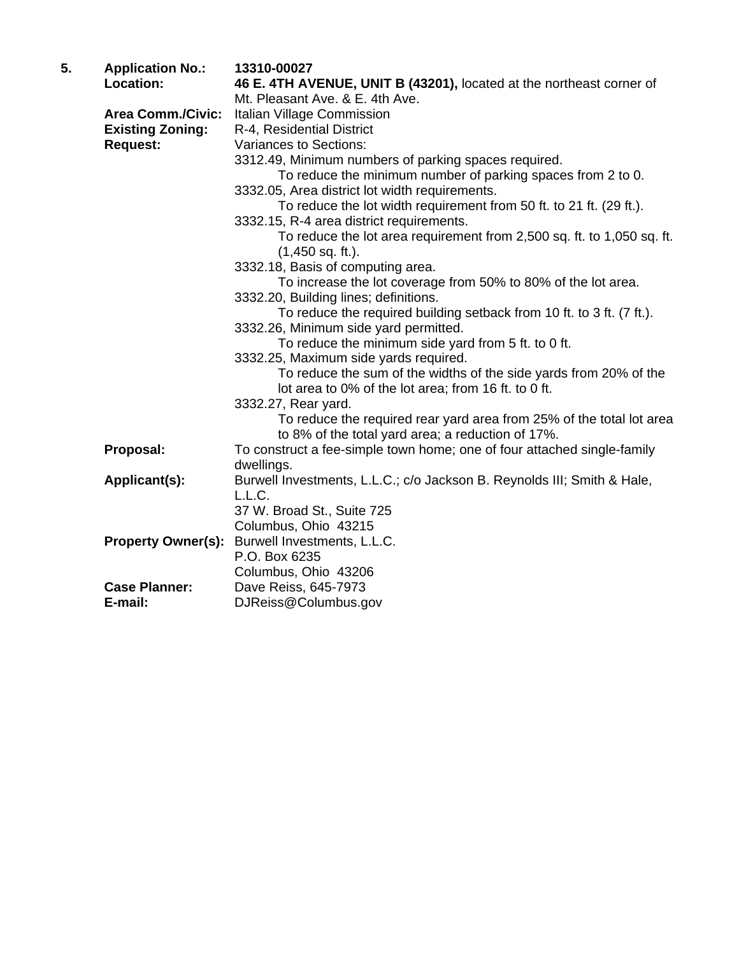| 5. | <b>Application No.:</b>   | 13310-00027                                                                                                               |
|----|---------------------------|---------------------------------------------------------------------------------------------------------------------------|
|    | Location:                 | 46 E. 4TH AVENUE, UNIT B (43201), located at the northeast corner of                                                      |
|    |                           | Mt. Pleasant Ave. & E. 4th Ave.                                                                                           |
|    | <b>Area Comm./Civic:</b>  | Italian Village Commission                                                                                                |
|    | <b>Existing Zoning:</b>   | R-4, Residential District                                                                                                 |
|    | <b>Request:</b>           | Variances to Sections:                                                                                                    |
|    |                           | 3312.49, Minimum numbers of parking spaces required.                                                                      |
|    |                           | To reduce the minimum number of parking spaces from 2 to 0.                                                               |
|    |                           | 3332.05, Area district lot width requirements.                                                                            |
|    |                           | To reduce the lot width requirement from 50 ft. to 21 ft. (29 ft.).                                                       |
|    |                           | 3332.15, R-4 area district requirements.                                                                                  |
|    |                           | To reduce the lot area requirement from 2,500 sq. ft. to 1,050 sq. ft.<br>$(1,450$ sq. ft.).                              |
|    |                           | 3332.18, Basis of computing area.                                                                                         |
|    |                           | To increase the lot coverage from 50% to 80% of the lot area.                                                             |
|    |                           | 3332.20, Building lines; definitions.                                                                                     |
|    |                           | To reduce the required building setback from 10 ft. to 3 ft. (7 ft.).                                                     |
|    |                           | 3332.26, Minimum side yard permitted.                                                                                     |
|    |                           | To reduce the minimum side yard from 5 ft. to 0 ft.                                                                       |
|    |                           | 3332.25, Maximum side yards required.                                                                                     |
|    |                           | To reduce the sum of the widths of the side yards from 20% of the                                                         |
|    |                           | lot area to 0% of the lot area; from 16 ft. to 0 ft.                                                                      |
|    |                           | 3332.27, Rear yard.                                                                                                       |
|    |                           | To reduce the required rear yard area from 25% of the total lot area<br>to 8% of the total yard area; a reduction of 17%. |
|    | Proposal:                 | To construct a fee-simple town home; one of four attached single-family                                                   |
|    |                           | dwellings.                                                                                                                |
|    | Applicant(s):             | Burwell Investments, L.L.C.; c/o Jackson B. Reynolds III; Smith & Hale,                                                   |
|    |                           | L.L.C.                                                                                                                    |
|    |                           | 37 W. Broad St., Suite 725                                                                                                |
|    |                           | Columbus, Ohio 43215                                                                                                      |
|    | <b>Property Owner(s):</b> | Burwell Investments, L.L.C.                                                                                               |
|    |                           | P.O. Box 6235                                                                                                             |
|    |                           | Columbus, Ohio 43206                                                                                                      |
|    | <b>Case Planner:</b>      | Dave Reiss, 645-7973                                                                                                      |
|    | E-mail:                   | DJReiss@Columbus.gov                                                                                                      |
|    |                           |                                                                                                                           |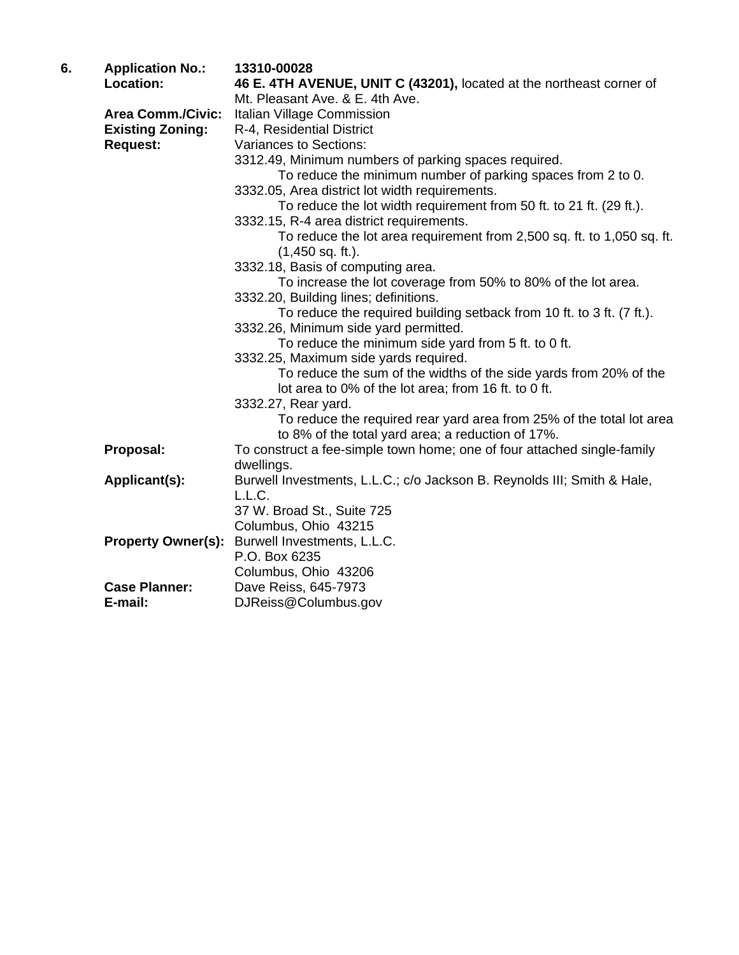| 6. | <b>Application No.:</b>   | 13310-00028                                                                                                    |
|----|---------------------------|----------------------------------------------------------------------------------------------------------------|
|    | Location:                 | 46 E. 4TH AVENUE, UNIT C (43201), located at the northeast corner of                                           |
|    |                           | Mt. Pleasant Ave. & E. 4th Ave.                                                                                |
|    | <b>Area Comm./Civic:</b>  | Italian Village Commission                                                                                     |
|    | <b>Existing Zoning:</b>   | R-4, Residential District                                                                                      |
|    | <b>Request:</b>           | Variances to Sections:                                                                                         |
|    |                           | 3312.49, Minimum numbers of parking spaces required.                                                           |
|    |                           | To reduce the minimum number of parking spaces from 2 to 0.                                                    |
|    |                           | 3332.05, Area district lot width requirements.                                                                 |
|    |                           | To reduce the lot width requirement from 50 ft. to 21 ft. (29 ft.).                                            |
|    |                           | 3332.15, R-4 area district requirements.                                                                       |
|    |                           | To reduce the lot area requirement from 2,500 sq. ft. to 1,050 sq. ft.                                         |
|    |                           | $(1,450$ sq. ft.).                                                                                             |
|    |                           | 3332.18, Basis of computing area.                                                                              |
|    |                           | To increase the lot coverage from 50% to 80% of the lot area.                                                  |
|    |                           | 3332.20, Building lines; definitions.                                                                          |
|    |                           | To reduce the required building setback from 10 ft. to 3 ft. (7 ft.).<br>3332.26, Minimum side yard permitted. |
|    |                           | To reduce the minimum side yard from 5 ft. to 0 ft.                                                            |
|    |                           | 3332.25, Maximum side yards required.                                                                          |
|    |                           | To reduce the sum of the widths of the side yards from 20% of the                                              |
|    |                           | lot area to 0% of the lot area; from 16 ft. to 0 ft.                                                           |
|    |                           | 3332.27, Rear yard.                                                                                            |
|    |                           | To reduce the required rear yard area from 25% of the total lot area                                           |
|    |                           | to 8% of the total yard area; a reduction of 17%.                                                              |
|    | Proposal:                 | To construct a fee-simple town home; one of four attached single-family                                        |
|    |                           | dwellings.                                                                                                     |
|    | Applicant(s):             | Burwell Investments, L.L.C.; c/o Jackson B. Reynolds III; Smith & Hale,                                        |
|    |                           | L.L.C.                                                                                                         |
|    |                           | 37 W. Broad St., Suite 725                                                                                     |
|    |                           | Columbus, Ohio 43215                                                                                           |
|    | <b>Property Owner(s):</b> | Burwell Investments, L.L.C.                                                                                    |
|    |                           | P.O. Box 6235                                                                                                  |
|    |                           | Columbus, Ohio 43206                                                                                           |
|    | <b>Case Planner:</b>      | Dave Reiss, 645-7973                                                                                           |
|    | E-mail:                   | DJReiss@Columbus.gov                                                                                           |
|    |                           |                                                                                                                |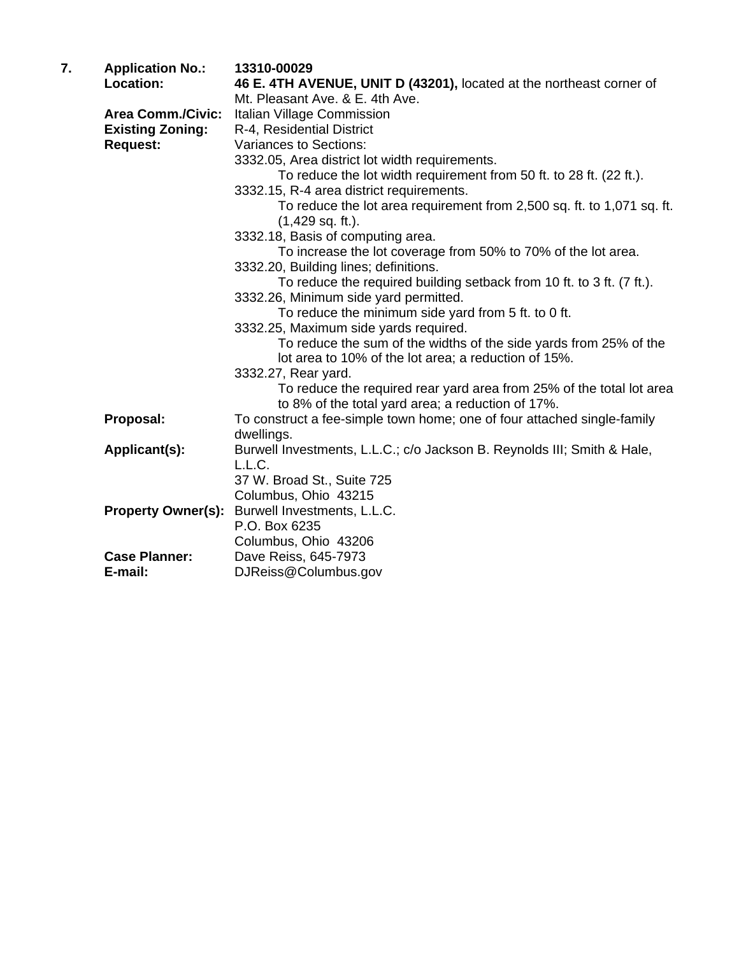| 7. | <b>Application No.:</b>   | 13310-00029                                                                                                               |
|----|---------------------------|---------------------------------------------------------------------------------------------------------------------------|
|    | <b>Location:</b>          | 46 E. 4TH AVENUE, UNIT D (43201), located at the northeast corner of                                                      |
|    |                           | Mt. Pleasant Ave. & E. 4th Ave.                                                                                           |
|    | <b>Area Comm./Civic:</b>  | Italian Village Commission                                                                                                |
|    | <b>Existing Zoning:</b>   | R-4, Residential District                                                                                                 |
|    | <b>Request:</b>           | Variances to Sections:                                                                                                    |
|    |                           | 3332.05, Area district lot width requirements.                                                                            |
|    |                           | To reduce the lot width requirement from 50 ft. to 28 ft. (22 ft.).                                                       |
|    |                           | 3332.15, R-4 area district requirements.                                                                                  |
|    |                           | To reduce the lot area requirement from 2,500 sq. ft. to 1,071 sq. ft.<br>$(1,429$ sq. ft.).                              |
|    |                           | 3332.18, Basis of computing area.                                                                                         |
|    |                           | To increase the lot coverage from 50% to 70% of the lot area.                                                             |
|    |                           | 3332.20, Building lines; definitions.                                                                                     |
|    |                           | To reduce the required building setback from 10 ft. to 3 ft. (7 ft.).                                                     |
|    |                           | 3332.26, Minimum side yard permitted.                                                                                     |
|    |                           | To reduce the minimum side yard from 5 ft. to 0 ft.                                                                       |
|    |                           | 3332.25, Maximum side yards required.                                                                                     |
|    |                           | To reduce the sum of the widths of the side yards from 25% of the<br>lot area to 10% of the lot area; a reduction of 15%. |
|    |                           | 3332.27, Rear yard.                                                                                                       |
|    |                           | To reduce the required rear yard area from 25% of the total lot area<br>to 8% of the total yard area; a reduction of 17%. |
|    | Proposal:                 | To construct a fee-simple town home; one of four attached single-family                                                   |
|    |                           | dwellings.                                                                                                                |
|    | Applicant(s):             | Burwell Investments, L.L.C.; c/o Jackson B. Reynolds III; Smith & Hale,                                                   |
|    |                           | L.L.C.                                                                                                                    |
|    |                           | 37 W. Broad St., Suite 725                                                                                                |
|    |                           | Columbus, Ohio 43215                                                                                                      |
|    | <b>Property Owner(s):</b> | Burwell Investments, L.L.C.                                                                                               |
|    |                           | P.O. Box 6235                                                                                                             |
|    |                           | Columbus, Ohio 43206                                                                                                      |
|    | <b>Case Planner:</b>      | Dave Reiss, 645-7973                                                                                                      |
|    | E-mail:                   | DJReiss@Columbus.gov                                                                                                      |